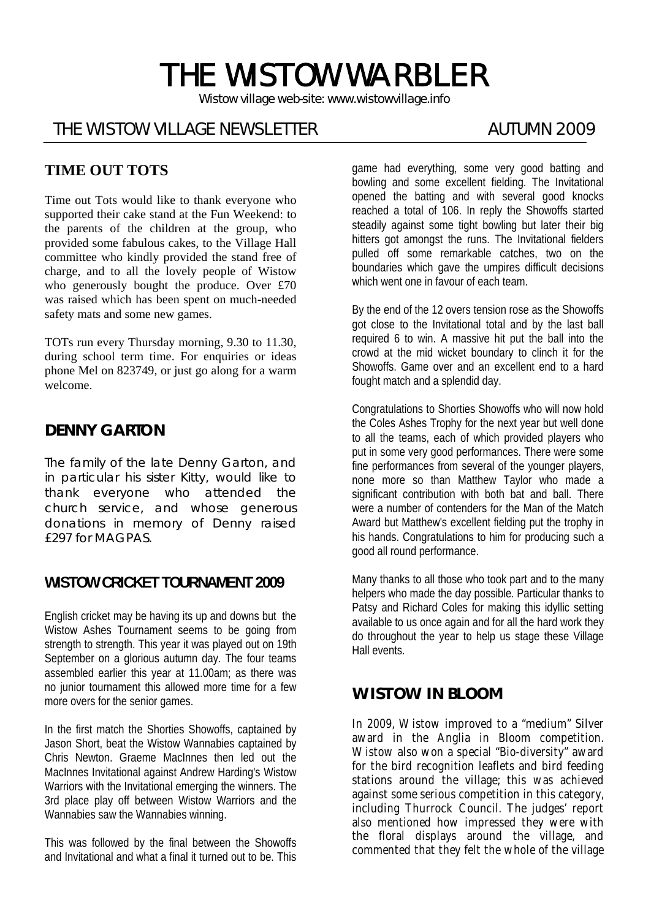# THE WISTOW WARBLER

*Wistow village web-site: www.wistowvillage.info* 

I

# THE WISTOW VILLAGE NEWSLETTER AUTUMN 2009

# **TIME OUT TOTS**

Time out Tots would like to thank everyone who supported their cake stand at the Fun Weekend: to the parents of the children at the group, who provided some fabulous cakes, to the Village Hall committee who kindly provided the stand free of charge, and to all the lovely people of Wistow who generously bought the produce. Over £70 was raised which has been spent on much-needed safety mats and some new games.

TOTs run every Thursday morning, 9.30 to 11.30, during school term time. For enquiries or ideas phone Mel on 823749, or just go along for a warm welcome.

# **DENNY GARTON**

The family of the late Denny Garton, and in particular his sister Kitty, would like to thank everyone who attended the church service, and whose generous donations in memory of Denny raised £297 for MAGPAS.

## **WISTOW CRICKET TOURNAMENT 2009**

English cricket may be having its up and downs but the Wistow Ashes Tournament seems to be going from strength to strength. This year it was played out on 19th September on a glorious autumn day. The four teams assembled earlier this year at 11.00am; as there was no junior tournament this allowed more time for a few more overs for the senior games.

In the first match the Shorties Showoffs, captained by Jason Short, beat the Wistow Wannabies captained by Chris Newton. Graeme MacInnes then led out the MacInnes Invitational against Andrew Harding's Wistow Warriors with the Invitational emerging the winners. The 3rd place play off between Wistow Warriors and the Wannabies saw the Wannabies winning.

This was followed by the final between the Showoffs and Invitational and what a final it turned out to be. This game had everything, some very good batting and bowling and some excellent fielding. The Invitational opened the batting and with several good knocks reached a total of 106. In reply the Showoffs started steadily against some tight bowling but later their big hitters got amongst the runs. The Invitational fielders pulled off some remarkable catches, two on the boundaries which gave the umpires difficult decisions which went one in favour of each team.

By the end of the 12 overs tension rose as the Showoffs got close to the Invitational total and by the last ball required 6 to win. A massive hit put the ball into the crowd at the mid wicket boundary to clinch it for the Showoffs. Game over and an excellent end to a hard fought match and a splendid day.

Congratulations to Shorties Showoffs who will now hold the Coles Ashes Trophy for the next year but well done to all the teams, each of which provided players who put in some very good performances. There were some fine performances from several of the younger players, none more so than Matthew Taylor who made a significant contribution with both bat and ball. There were a number of contenders for the Man of the Match Award but Matthew's excellent fielding put the trophy in his hands. Congratulations to him for producing such a good all round performance.

Many thanks to all those who took part and to the many helpers who made the day possible. Particular thanks to Patsy and Richard Coles for making this idyllic setting available to us once again and for all the hard work they do throughout the year to help us stage these Village Hall events.

# **WISTOW IN BLOOM**

In 2009, Wistow improved to a "medium" Silver award in the Anglia in Bloom competition. Wistow also won a special "Bio-diversity" award for the bird recognition leaflets and bird feeding stations around the village; this was achieved against some serious competition in this category, including Thurrock Council. The judges' report also mentioned how impressed they were with the floral displays around the village, and commented that they felt the whole of the village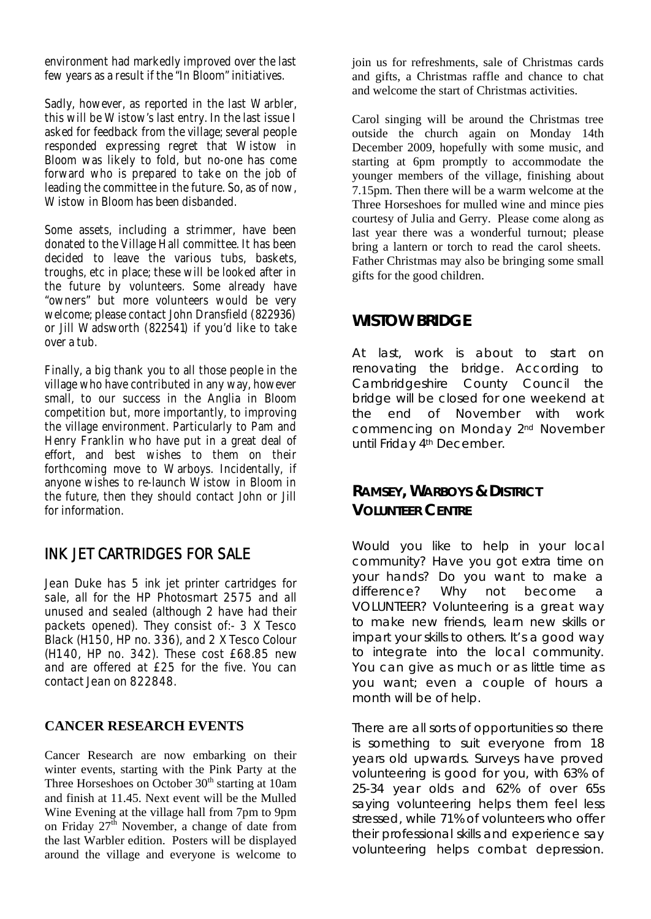environment had markedly improved over the last few years as a result if the "In Bloom" initiatives.

Sadly, however, as reported in the last Warbler, this will be Wistow's last entry. In the last issue I asked for feedback from the village; several people responded expressing regret that Wistow in Bloom was likely to fold, but no-one has come forward who is prepared to take on the job of leading the committee in the future. So, as of now, Wistow in Bloom has been disbanded.

Some assets, including a strimmer, have been donated to the Village Hall committee. It has been decided to leave the various tubs, baskets, troughs, etc in place; these will be looked after in the future by volunteers. Some already have "owners" but more volunteers would be very welcome; please contact John Dransfield (822936) or Jill Wadsworth (822541) if you'd like to take over a tub.

Finally, a big thank you to all those people in the village who have contributed in any way, however small, to our success in the Anglia in Bloom competition but, more importantly, to improving the village environment. Particularly to Pam and Henry Franklin who have put in a great deal of effort, and best wishes to them on their forthcoming move to Warboys. Incidentally, if anyone wishes to re-launch Wistow in Bloom in the future, then they should contact John or Jill for information.

# INK JET CARTRIDGES FOR SALE

Jean Duke has 5 ink jet printer cartridges for sale, all for the HP Photosmart 2575 and all unused and sealed (although 2 have had their packets opened). They consist of:- 3 X Tesco Black (H150, HP no. 336), and 2 X Tesco Colour (H140, HP no. 342). These cost £68.85 new and are offered at £25 for the five. You can contact Jean on 822848.

#### **CANCER RESEARCH EVENTS**

Cancer Research are now embarking on their winter events, starting with the Pink Party at the Three Horseshoes on October  $30<sup>th</sup>$  starting at 10am and finish at 11.45. Next event will be the Mulled Wine Evening at the village hall from 7pm to 9pm on Friday  $27<sup>th</sup>$  November, a change of date from the last Warbler edition. Posters will be displayed around the village and everyone is welcome to

join us for refreshments, sale of Christmas cards and gifts, a Christmas raffle and chance to chat and welcome the start of Christmas activities.

Carol singing will be around the Christmas tree outside the church again on Monday 14th December 2009, hopefully with some music, and starting at 6pm promptly to accommodate the younger members of the village, finishing about 7.15pm. Then there will be a warm welcome at the Three Horseshoes for mulled wine and mince pies courtesy of Julia and Gerry. Please come along as last year there was a wonderful turnout; please bring a lantern or torch to read the carol sheets. Father Christmas may also be bringing some small gifts for the good children.

# **WISTOW BRIDGE**

At last, work is about to start on renovating the bridge. According to Cambridgeshire County Council the bridge will be closed for one weekend at the end of November with work commencing on Monday 2nd November until Friday 4th December.

# **RAMSEY, WARBOYS & DISTRICT VOLUNTEER CENTRE**

Would you like to help in your local community? Have you got extra time on your hands? Do you want to make a difference? Why not become a VOLUNTEER? Volunteering is a great way to make new friends, learn new skills or impart your skills to others. It's a good way to integrate into the local community. You can give as much or as little time as you want; even a couple of hours a month will be of help.

There are all sorts of opportunities so there is something to suit everyone from 18 years old upwards. Surveys have proved volunteering is good for you, with 63% of 25-34 year olds and 62% of over 65s saying volunteering helps them feel less stressed, while 71% of volunteers who offer their professional skills and experience say volunteering helps combat depression.